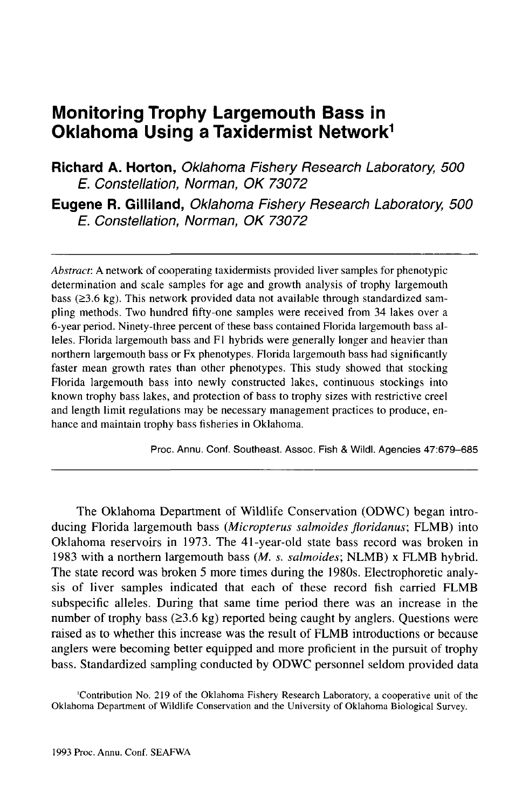# **Monitoring Trophy Largemouth Bass in Oklahoma Using a Taxidermist Network<sup>1</sup>**

**Richard A. Horton,** Oklahoma Fishery Research Laboratory, 500 E. Constellation, Norman, OK 73072

**Eugene R. Gilliland,** Oklahoma Fishery Research Laboratory, 500 E. Constellation, Norman, OK 73072

*Abstract:* A network of cooperating taxidermists provided liver samples for phenotypic determination and scale samples for age and growth analysis of trophy largemouth bass ( $\geq$ 3.6 kg). This network provided data not available through standardized sampling methods. Two hundred fifty-one samples were received from 34 lakes over a 6-year period. Ninety-three percent of these bass contained Florida largemouth bass alleles. Florida largemouth bass and Fl hybrids were generally longer and heavier than northern largemouth bass or Fx phenotypes. Florida largemouth bass had significantly faster mean growth rates than other phenotypes. This study showed that stocking Florida largemouth bass into newly constructed lakes, continuous stockings into known trophy bass lakes, and protection of bass to trophy sizes with restrictive creel and length limit regulations may be necessary management practices to produce, enhance and maintain trophy bass fisheries in Oklahoma.

Proc. Annu. Conf. Southeast. Assoc. Fish & Wildl. Agencies 47:679-685

The Oklahoma Department of Wildlife Conservation (ODWC) began introducing Florida largemouth bass *{Micropterus salmoides floridanus;* FLMB) into Oklahoma reservoirs in 1973. The 41-year-old state bass record was broken in 1983 with a northern largemouth bass (M. s. *salmoides;* NLMB) x FLMB hybrid. The state record was broken 5 more times during the 1980s. Electrophoretic analysis of liver samples indicated that each of these record fish carried FLMB subspecific alleles. During that same time period there was an increase in the number of trophy bass  $(≥3.6 \text{ kg})$  reported being caught by anglers. Questions were raised as to whether this increase was the result of FLMB introductions or because anglers were becoming better equipped and more proficient in the pursuit of trophy bass. Standardized sampling conducted by ODWC personnel seldom provided data

'Contribution No. 219 of the Oklahoma Fishery Research Laboratory, a cooperative unit of the Oklahoma Department of Wildlife Conservation and the University of Oklahoma Biological Survey.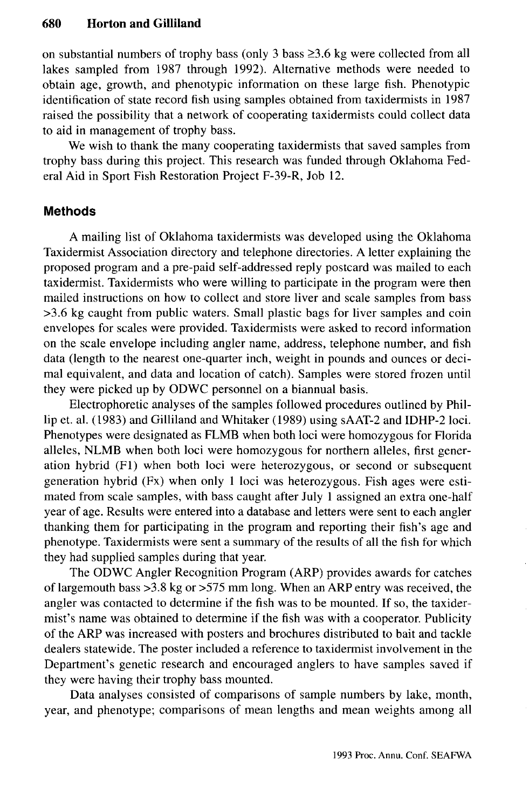on substantial numbers of trophy bass (only 3 bass  $\geq 3.6$  kg were collected from all lakes sampled from 1987 through 1992). Alternative methods were needed to obtain age, growth, and phenotypic information on these large fish. Phenotypic identification of state record fish using samples obtained from taxidermists in 1987 raised the possibility that a network of cooperating taxidermists could collect data to aid in management of trophy bass.

We wish to thank the many cooperating taxidermists that saved samples from trophy bass during this project. This research was funded through Oklahoma Federal Aid in Sport Fish Restoration Project F-39-R, Job 12.

## **Methods**

A mailing list of Oklahoma taxidermists was developed using the Oklahoma Taxidermist Association directory and telephone directories. A letter explaining the proposed program and a pre-paid self-addressed reply postcard was mailed to each taxidermist. Taxidermists who were willing to participate in the program were then mailed instructions on how to collect and store liver and scale samples from bass >3.6 kg caught from public waters. Small plastic bags for liver samples and coin envelopes for scales were provided. Taxidermists were asked to record information on the scale envelope including angler name, address, telephone number, and fish data (length to the nearest one-quarter inch, weight in pounds and ounces or decimal equivalent, and data and location of catch). Samples were stored frozen until they were picked up by ODWC personnel on a biannual basis.

Electrophoretic analyses of the samples followed procedures outlined by Phillip et. al. (1983) and Gilliland and Whitaker (1989) using sAAT-2 and IDHP-2 loci. Phenotypes were designated as FLMB when both loci were homozygous for Florida alleles, NLMB when both loci were homozygous for northern alleles, first generation hybrid (Fl) when both loci were heterozygous, or second or subsequent generation hybrid (Fx) when only 1 loci was heterozygous. Fish ages were estimated from scale samples, with bass caught after July 1 assigned an extra one-half year of age. Results were entered into a database and letters were sent to each angler thanking them for participating in the program and reporting their fish's age and phenotype. Taxidermists were sent a summary of the results of all the fish for which they had supplied samples during that year.

The ODWC Angler Recognition Program (ARP) provides awards for catches of largemouth bass >3.8 kg or >575 mm long. When an ARP entry was received, the angler was contacted to determine if the fish was to be mounted. If so, the taxidermist's name was obtained to determine if the fish was with a cooperator. Publicity of the ARP was increased with posters and brochures distributed to bait and tackle dealers statewide. The poster included a reference to taxidermist involvement in the Department's genetic research and encouraged anglers to have samples saved if they were having their trophy bass mounted.

Data analyses consisted of comparisons of sample numbers by lake, month, year, and phenotype; comparisons of mean lengths and mean weights among all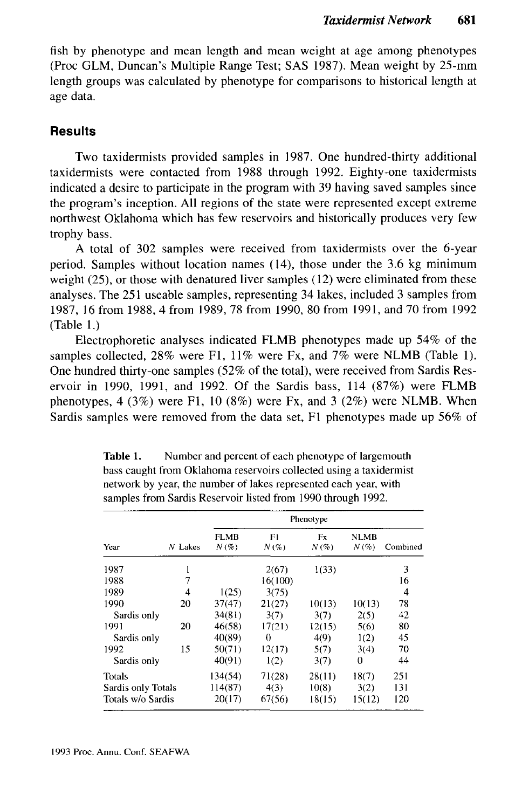fish by phenotype and mean length and mean weight at age among phenotypes (Proc GLM, Duncan's Multiple Range Test; SAS 1987). Mean weight by 25-mm length groups was calculated by phenotype for comparisons to historical length at age data.

## **Results**

Two taxidermists provided samples in 1987. One hundred-thirty additional taxidermists were contacted from 1988 through 1992. Eighty-one taxidermists indicated a desire to participate in the program with 39 having saved samples since the program's inception. All regions of the state were represented except extreme northwest Oklahoma which has few reservoirs and historically produces very few trophy bass.

A total of 302 samples were received from taxidermists over the 6-year period. Samples without location names (14), those under the 3.6 kg minimum weight (25), or those with denatured liver samples (12) were eliminated from these analyses. The 251 useable samples, representing 34 lakes, included 3 samples from 1987, 16 from 1988, 4 from 1989, 78 from 1990, 80 from 1991, and 70 from 1992 (Table 1.)

Electrophoretic analyses indicated FLMB phenotypes made up 54% of the samples collected, 28% were Fl, 11% were Fx, and 7% were NLMB (Table 1). One hundred thirty-one samples (52% of the total), were received from Sardis Reservoir in 1990, 1991, and 1992. Of the Sardis bass, 114 (87%) were FLMB phenotypes, 4 (3%) were F1, 10 (8%) were Fx, and 3 (2%) were NLMB. When Sardis samples were removed from the data set, Fl phenotypes made up 56% of

|                    |           | Phenotype    |            |               |                     |          |  |  |  |
|--------------------|-----------|--------------|------------|---------------|---------------------|----------|--|--|--|
| Year               | $N$ Lakes | FLMB<br>N(%) | F١<br>N(%) | Fx<br>$N(\%)$ | <b>NLMB</b><br>N(%) | Combined |  |  |  |
| 1987               |           |              | 2(67)      | 1(33)         |                     | 3        |  |  |  |
| 1988               |           |              | 16(100)    |               |                     | 16       |  |  |  |
| 1989               | 4         | 1(25)        | 3(75)      |               |                     | 4        |  |  |  |
| 1990               | 20        | 37(47)       | 21(27)     | 10(13)        | 10(13)              | 78       |  |  |  |
| Sardis only        |           | 34(81)       | 3(7)       | 3(7)          | 2(5)                | 42       |  |  |  |
| 1991               | 20        | 46(58)       | 17(21)     | 12(15)        | 5(6)                | 80       |  |  |  |
| Sardis only        |           | 40(89)       | 0          | 4(9)          | 1(2)                | 45       |  |  |  |
| 1992               | 15        | 50(71)       | 12(17)     | 5(7)          | 3(4)                | 70       |  |  |  |
| Sardis only        |           | 40(91)       | 1(2)       | 3(7)          | 0                   | 44       |  |  |  |
| Totals             |           | 134(54)      | 71(28)     | 28(11)        | 18(7)               | 251      |  |  |  |
| Sardis only Totals |           | 114(87)      | 4(3)       | 10(8)         | 3(2)                | 131      |  |  |  |
| Totals w/o Sardis  |           | 20(17)       | 67(56)     | 18(15)        | 15(12)              | 120      |  |  |  |

Table 1. Number and percent of each phenotype of largemouth bass caught from Oklahoma reservoirs collected using a taxidermist network by year, the number of lakes represented each year, with samples from Sardis Reservoir listed from 1990 through 1992.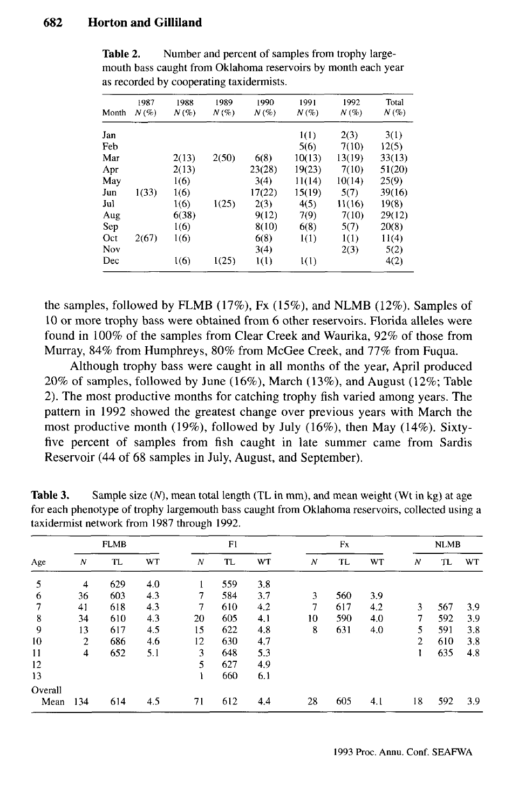#### **682 Horton and Gilliland**

| Month | 1987<br>$N(\%)$ | 1988<br>$N(\%)$ | 1989<br>$N(\%)$ | 1990<br>$N(\%)$ | 1991<br>$N(\%)$ | 1992<br>$N(\%)$ | Total<br>$N(\%)$ |
|-------|-----------------|-----------------|-----------------|-----------------|-----------------|-----------------|------------------|
| Jan   |                 |                 |                 |                 | 1(1)            | 2(3)            | 3(1)             |
| Feb   |                 |                 |                 |                 | 5(6)            | 7(10)           | 12(5)            |
| Mar   |                 | 2(13)           | 2(50)           | 6(8)            | 10(13)          | 13(19)          | 33(13)           |
| Apr   |                 | 2(13)           |                 | 23(28)          | 19(23)          | 7(10)           | 51(20)           |
| May   |                 | 1(6)            |                 | 3(4)            | 11(14)          | 10(14)          | 25(9)            |
| Jun   | 1(33)           | 1(6)            |                 | 17(22)          | 15(19)          | 5(7)            | 39(16)           |
| Jul   |                 | 1(6)            | 1(25)           | 2(3)            | 4(5)            | 11(16)          | 19(8)            |
| Aug   |                 | 6(38)           |                 | 9(12)           | 7(9)            | 7(10)           | 29(12)           |
| Sep   |                 | 1(6)            |                 | 8(10)           | 6(8)            | 5(7)            | 20(8)            |
| Oct   | 2(67)           | 1(6)            |                 | 6(8)            | 1(1)            | 1(1)            | 11(4)            |
| Nov   |                 |                 |                 | 3(4)            |                 | 2(3)            | 5(2)             |
| Dec   |                 | 1(6)            | 1(25)           | 1(1)            | I(1)            |                 | 4(2)             |

Table 2. Number and percent of samples from trophy largemouth bass caught from Oklahoma reservoirs by month each year as recorded by cooperating taxidermists.

the samples, followed by FLMB (17%), Fx (15%), and NLMB (12%). Samples of 10 or more trophy bass were obtained from 6 other reservoirs. Florida alleles were found in 100% of the samples from Clear Creek and Waurika, 92% of those from Murray, 84% from Humphreys, 80% from McGee Creek, and 77% from Fuqua.

Although trophy bass were caught in all months of the year, April produced 20% of samples, followed by June (16%), March (13%), and August (12%; Table 2). The most productive months for catching trophy fish varied among years. The pattern in 1992 showed the greatest change over previous years with March the most productive month (19%), followed by July (16%), then May (14%). Sixtyfive percent of samples from fish caught in late summer came from Sardis Reservoir (44 of 68 samples in July, August, and September).

|         | <b>FLMB</b> |     |     | F1 |     |     | Fx |     |           | <b>NLMB</b>    |     |           |
|---------|-------------|-----|-----|----|-----|-----|----|-----|-----------|----------------|-----|-----------|
| Age     | N           | TL  | WT  | N  | TL  | WT  | N  | TL  | <b>WT</b> | Ν              | TL  | <b>WT</b> |
| 5       | 4           | 629 | 4.0 |    | 559 | 3.8 |    |     |           |                |     |           |
| 6       | 36          | 603 | 4.3 | 7  | 584 | 3.7 | 3  | 560 | 3.9       |                |     |           |
| 7       | 41          | 618 | 4.3 | 7  | 610 | 4.2 | 7  | 617 | 4.2       | 3              | 567 | 3.9       |
| 8       | 34          | 610 | 4.3 | 20 | 605 | 4,1 | 10 | 590 | 4.0       | 7              | 592 | 3.9       |
| 9       | 13          | 617 | 4.5 | 15 | 622 | 4.8 | 8  | 631 | 4.0       | 5              | 591 | 3.8       |
| 10      | 2           | 686 | 4.6 | 12 | 630 | 4.7 |    |     |           | $\overline{2}$ | 610 | 3.8       |
| 11      | 4           | 652 | 5.1 | 3  | 648 | 5.3 |    |     |           | ı              | 635 | 4.8       |
| 12      |             |     |     | 5  | 627 | 4.9 |    |     |           |                |     |           |
| 13      |             |     |     |    | 660 | 6.1 |    |     |           |                |     |           |
| Overall |             |     |     |    |     |     |    |     |           |                |     |           |
| Mean    | 134         | 614 | 4.5 | 71 | 612 | 4.4 | 28 | 605 | 4.1       | 18             | 592 | 3.9       |

**Table 3.** Sample size  $(N)$ , mean total length  $(TL \text{ in mm})$ , and mean weight  $(Wt \text{ in kg})$  at age for each phenotype of trophy largemouth bass caught from Oklahoma reservoirs, collected using a taxidermist network from 1987 through 1992.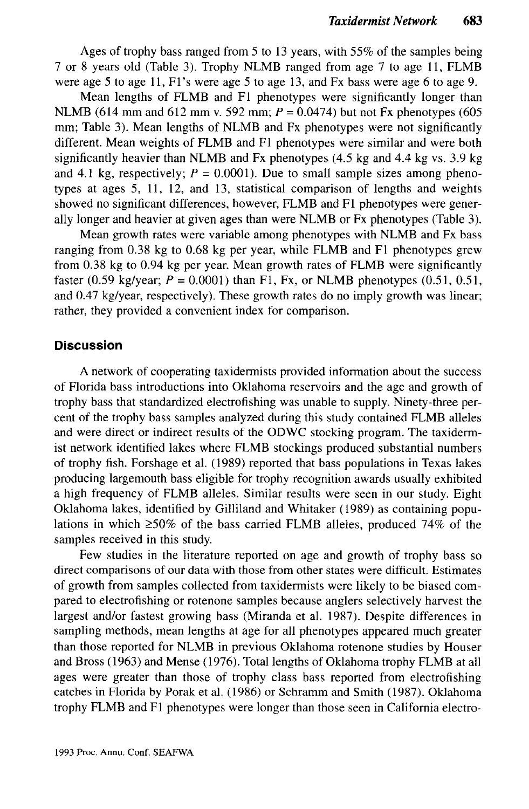Ages of trophy bass ranged from 5 to 13 years, with 55% of the samples being 7 or 8 years old (Table 3). Trophy NLMB ranged from age 7 to age 11, FLMB were age 5 to age 11, Fl's were age 5 to age 13, and Fx bass were age 6 to age 9.

Mean lengths of FLMB and Fl phenotypes were significantly longer than NLMB (614 mm and 612 mm v. 592 mm; *P* = 0.0474) but not Fx phenotypes (605 mm; Table 3). Mean lengths of NLMB and Fx phenotypes were not significantly different. Mean weights of FLMB and Fl phenotypes were similar and were both significantly heavier than NLMB and Fx phenotypes (4.5 kg and 4.4 kg vs. 3.9 kg and 4.1 kg, respectively;  $P = 0.0001$ ). Due to small sample sizes among phenotypes at ages 5, 11, 12, and 13, statistical comparison of lengths and weights showed no significant differences, however, FLMB and Fl phenotypes were generally longer and heavier at given ages than were NLMB or Fx phenotypes (Table 3).

Mean growth rates were variable among phenotypes with NLMB and Fx bass ranging from 0.38 kg to 0.68 kg per year, while FLMB and Fl phenotypes grew from 0.38 kg to 0.94 kg per year. Mean growth rates of FLMB were significantly faster (0.59 kg/year;  $P = 0.0001$ ) than F1, Fx, or NLMB phenotypes (0.51, 0.51, and 0.47 kg/year, respectively). These growth rates do no imply growth was linear; rather, they provided a convenient index for comparison.

### **Discussion**

A network of cooperating taxidermists provided information about the success of Florida bass introductions into Oklahoma reservoirs and the age and growth of trophy bass that standardized electrofishing was unable to supply. Ninety-three percent of the trophy bass samples analyzed during this study contained FLMB alleles and were direct or indirect results of the ODWC stocking program. The taxidermist network identified lakes where FLMB stockings produced substantial numbers of trophy fish. Forshage et al. (1989) reported that bass populations in Texas lakes producing largemouth bass eligible for trophy recognition awards usually exhibited a high frequency of FLMB alleles. Similar results were seen in our study. Eight Oklahoma lakes, identified by Gilliland and Whitaker (1989) as containing populations in which  $\geq 50\%$  of the bass carried FLMB alleles, produced 74% of the samples received in this study.

Few studies in the literature reported on age and growth of trophy bass so direct comparisons of our data with those from other states were difficult. Estimates of growth from samples collected from taxidermists were likely to be biased compared to electrofishing or rotenone samples because anglers selectively harvest the largest and/or fastest growing bass (Miranda et al. 1987). Despite differences in sampling methods, mean lengths at age for all phenotypes appeared much greater than those reported for NLMB in previous Oklahoma rotenone studies by Houser and Bross (1963) and Mense (1976). Total lengths of Oklahoma trophy FLMB at all ages were greater than those of trophy class bass reported from electrofishing catches in Florida by Porak et al. (1986) or Schramm and Smith (1987). Oklahoma trophy FLMB and Fl phenotypes were longer than those seen in California electro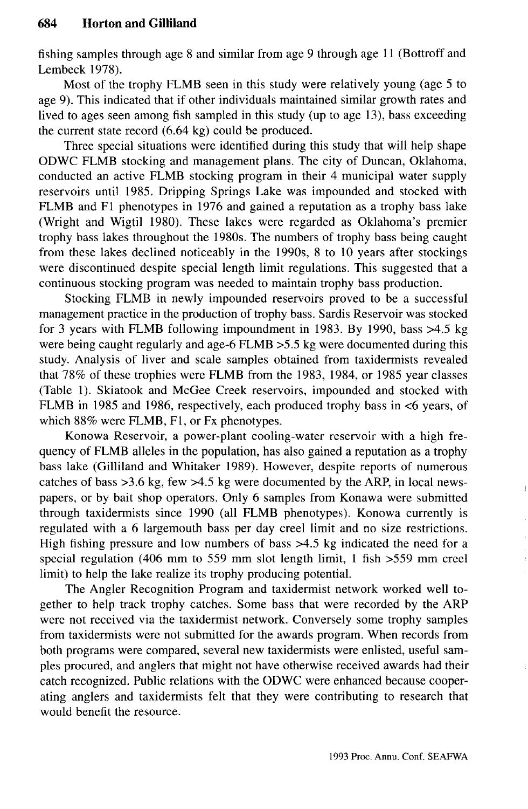fishing samples through age 8 and similar from age 9 through age 11 (Bottroff and Lembeck 1978).

Most of the trophy FLMB seen in this study were relatively young (age 5 to age 9). This indicated that if other individuals maintained similar growth rates and lived to ages seen among fish sampled in this study (up to age 13), bass exceeding the current state record (6.64 kg) could be produced.

Three special situations were identified during this study that will help shape ODWC FLMB stocking and management plans. The city of Duncan, Oklahoma, conducted an active FLMB stocking program in their 4 municipal water supply reservoirs until 1985. Dripping Springs Lake was impounded and stocked with FLMB and Fl phenotypes in 1976 and gained a reputation as a trophy bass lake (Wright and Wigtil 1980). These lakes were regarded as Oklahoma's premier trophy bass lakes throughout the 1980s. The numbers of trophy bass being caught from these lakes declined noticeably in the 1990s, 8 to 10 years after stockings were discontinued despite special length limit regulations. This suggested that a continuous stocking program was needed to maintain trophy bass production.

Stocking FLMB in newly impounded reservoirs proved to be a successful management practice in the production of trophy bass. Sardis Reservoir was stocked for 3 years with FLMB following impoundment in 1983. By 1990, bass  $>4.5$  kg were being caught regularly and age-6 FLMB >5.5 kg were documented during this study. Analysis of liver and scale samples obtained from taxidermists revealed that 78% of these trophies were FLMB from the 1983, 1984, or 1985 year classes (Table 1). Skiatook and McGee Creek reservoirs, impounded and stocked with FLMB in 1985 and 1986, respectively, each produced trophy bass in <6 years, of which 88% were FLMB, Fl, or Fx phenotypes.

Konowa Reservoir, a power-plant cooling-water reservoir with a high frequency of FLMB alleles in the population, has also gained a reputation as a trophy bass lake (Gilliland and Whitaker 1989). However, despite reports of numerous catches of bass  $>3.6$  kg, few  $>4.5$  kg were documented by the ARP, in local newspapers, or by bait shop operators. Only 6 samples from Konawa were submitted through taxidermists since 1990 (all FLMB phenotypes). Konowa currently is regulated with a 6 largemouth bass per day creel limit and no size restrictions. High fishing pressure and low numbers of bass >4.5 kg indicated the need for a special regulation (406 mm to 559 mm slot length limit, 1 fish >559 mm creel limit) to help the lake realize its trophy producing potential.

The Angler Recognition Program and taxidermist network worked well together to help track trophy catches. Some bass that were recorded by the ARP were not received via the taxidermist network. Conversely some trophy samples from taxidermists were not submitted for the awards program. When records from both programs were compared, several new taxidermists were enlisted, useful samples procured, and anglers that might not have otherwise received awards had their catch recognized. Public relations with the ODWC were enhanced because cooperating anglers and taxidermists felt that they were contributing to research that would benefit the resource.